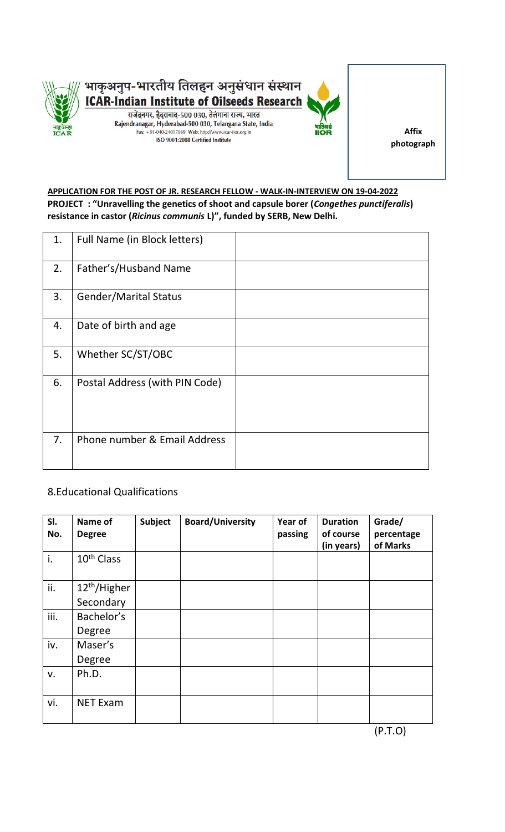

**Affix photograph**

## **APPLICATION FOR THE POST OF JR. RESEARCH FELLOW - WALK-IN-INTERVIEW ON 19-04-2022 PROJECT : "Unravelling the genetics of shoot and capsule borer (***Congethes punctiferalis***) resistance in castor (***Ricinus communis* **L)", funded by SERB, New Delhi.**

| 1. | Full Name (in Block letters)   |  |
|----|--------------------------------|--|
| 2. | Father's/Husband Name          |  |
| 3. | <b>Gender/Marital Status</b>   |  |
| 4. | Date of birth and age          |  |
| 5. | Whether SC/ST/OBC              |  |
| 6. | Postal Address (with PIN Code) |  |
| 7. | Phone number & Email Address   |  |

## 8.Educational Qualifications

| SI.<br>No. | Name of<br><b>Degree</b> | <b>Subject</b> | <b>Board/University</b> | Year of<br>passing | <b>Duration</b><br>of course<br>(in years) | Grade/<br>percentage<br>of Marks |
|------------|--------------------------|----------------|-------------------------|--------------------|--------------------------------------------|----------------------------------|
| i.         | 10 <sup>th</sup> Class   |                |                         |                    |                                            |                                  |
| ii.        | 12 <sup>th</sup> /Higher |                |                         |                    |                                            |                                  |
|            | Secondary                |                |                         |                    |                                            |                                  |
| iii.       | Bachelor's               |                |                         |                    |                                            |                                  |
|            | Degree                   |                |                         |                    |                                            |                                  |
| iv.        | Maser's                  |                |                         |                    |                                            |                                  |
|            | Degree                   |                |                         |                    |                                            |                                  |
| v.         | Ph.D.                    |                |                         |                    |                                            |                                  |
| vi.        | <b>NET Exam</b>          |                |                         |                    |                                            |                                  |

(P.T.O)